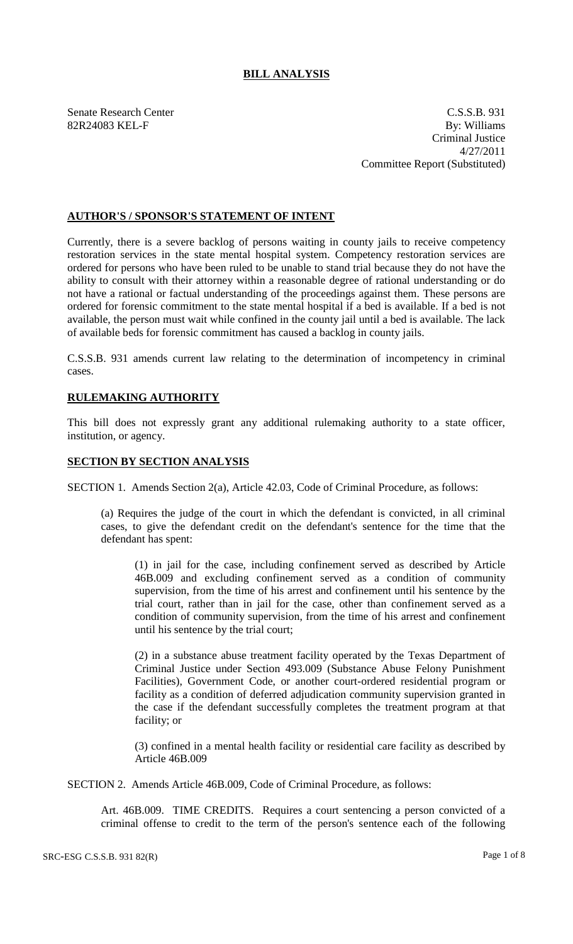## **BILL ANALYSIS**

Senate Research Center C.S.S.B. 931 82R24083 KEL-F By: Williams Criminal Justice 4/27/2011 Committee Report (Substituted)

## **AUTHOR'S / SPONSOR'S STATEMENT OF INTENT**

Currently, there is a severe backlog of persons waiting in county jails to receive competency restoration services in the state mental hospital system. Competency restoration services are ordered for persons who have been ruled to be unable to stand trial because they do not have the ability to consult with their attorney within a reasonable degree of rational understanding or do not have a rational or factual understanding of the proceedings against them. These persons are ordered for forensic commitment to the state mental hospital if a bed is available. If a bed is not available, the person must wait while confined in the county jail until a bed is available. The lack of available beds for forensic commitment has caused a backlog in county jails.

C.S.S.B. 931 amends current law relating to the determination of incompetency in criminal cases.

## **RULEMAKING AUTHORITY**

This bill does not expressly grant any additional rulemaking authority to a state officer, institution, or agency.

## **SECTION BY SECTION ANALYSIS**

SECTION 1. Amends Section 2(a), Article 42.03, Code of Criminal Procedure, as follows:

(a) Requires the judge of the court in which the defendant is convicted, in all criminal cases, to give the defendant credit on the defendant's sentence for the time that the defendant has spent:

(1) in jail for the case, including confinement served as described by Article 46B.009 and excluding confinement served as a condition of community supervision, from the time of his arrest and confinement until his sentence by the trial court, rather than in jail for the case, other than confinement served as a condition of community supervision, from the time of his arrest and confinement until his sentence by the trial court;

(2) in a substance abuse treatment facility operated by the Texas Department of Criminal Justice under Section 493.009 (Substance Abuse Felony Punishment Facilities), Government Code, or another court-ordered residential program or facility as a condition of deferred adjudication community supervision granted in the case if the defendant successfully completes the treatment program at that facility; or

(3) confined in a mental health facility or residential care facility as described by Article 46B.009

SECTION 2. Amends Article 46B.009, Code of Criminal Procedure, as follows:

Art. 46B.009. TIME CREDITS. Requires a court sentencing a person convicted of a criminal offense to credit to the term of the person's sentence each of the following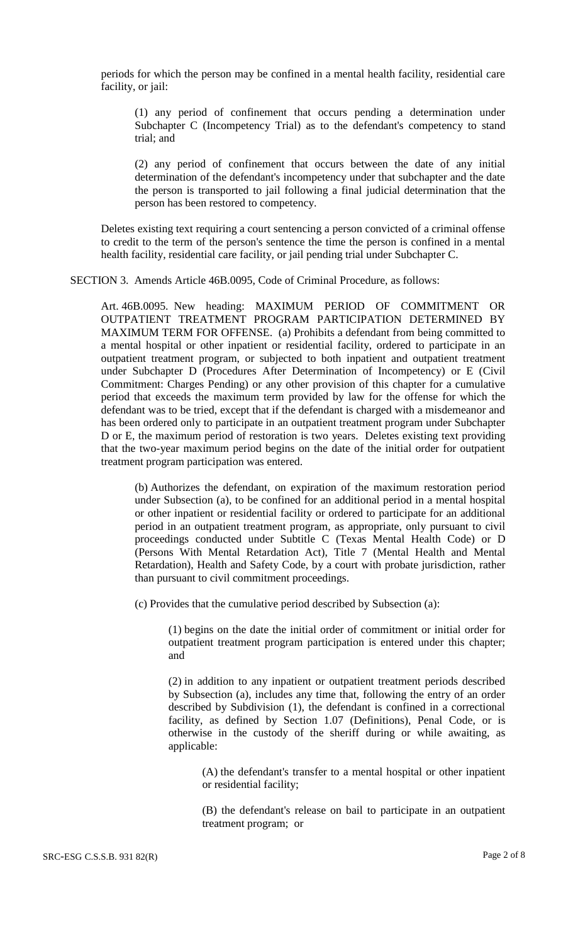periods for which the person may be confined in a mental health facility, residential care facility, or jail:

(1) any period of confinement that occurs pending a determination under Subchapter C (Incompetency Trial) as to the defendant's competency to stand trial; and

(2) any period of confinement that occurs between the date of any initial determination of the defendant's incompetency under that subchapter and the date the person is transported to jail following a final judicial determination that the person has been restored to competency.

Deletes existing text requiring a court sentencing a person convicted of a criminal offense to credit to the term of the person's sentence the time the person is confined in a mental health facility, residential care facility, or jail pending trial under Subchapter C.

SECTION 3. Amends Article 46B.0095, Code of Criminal Procedure, as follows:

Art. 46B.0095. New heading: MAXIMUM PERIOD OF COMMITMENT OR OUTPATIENT TREATMENT PROGRAM PARTICIPATION DETERMINED BY MAXIMUM TERM FOR OFFENSE. (a) Prohibits a defendant from being committed to a mental hospital or other inpatient or residential facility, ordered to participate in an outpatient treatment program, or subjected to both inpatient and outpatient treatment under Subchapter D (Procedures After Determination of Incompetency) or E (Civil Commitment: Charges Pending) or any other provision of this chapter for a cumulative period that exceeds the maximum term provided by law for the offense for which the defendant was to be tried, except that if the defendant is charged with a misdemeanor and has been ordered only to participate in an outpatient treatment program under Subchapter D or E, the maximum period of restoration is two years. Deletes existing text providing that the two-year maximum period begins on the date of the initial order for outpatient treatment program participation was entered.

(b) Authorizes the defendant, on expiration of the maximum restoration period under Subsection (a), to be confined for an additional period in a mental hospital or other inpatient or residential facility or ordered to participate for an additional period in an outpatient treatment program, as appropriate, only pursuant to civil proceedings conducted under Subtitle C (Texas Mental Health Code) or D (Persons With Mental Retardation Act), Title 7 (Mental Health and Mental Retardation), Health and Safety Code, by a court with probate jurisdiction, rather than pursuant to civil commitment proceedings.

(c) Provides that the cumulative period described by Subsection (a):

(1) begins on the date the initial order of commitment or initial order for outpatient treatment program participation is entered under this chapter; and

(2) in addition to any inpatient or outpatient treatment periods described by Subsection (a), includes any time that, following the entry of an order described by Subdivision (1), the defendant is confined in a correctional facility, as defined by Section 1.07 (Definitions), Penal Code, or is otherwise in the custody of the sheriff during or while awaiting, as applicable:

(A) the defendant's transfer to a mental hospital or other inpatient or residential facility;

(B) the defendant's release on bail to participate in an outpatient treatment program; or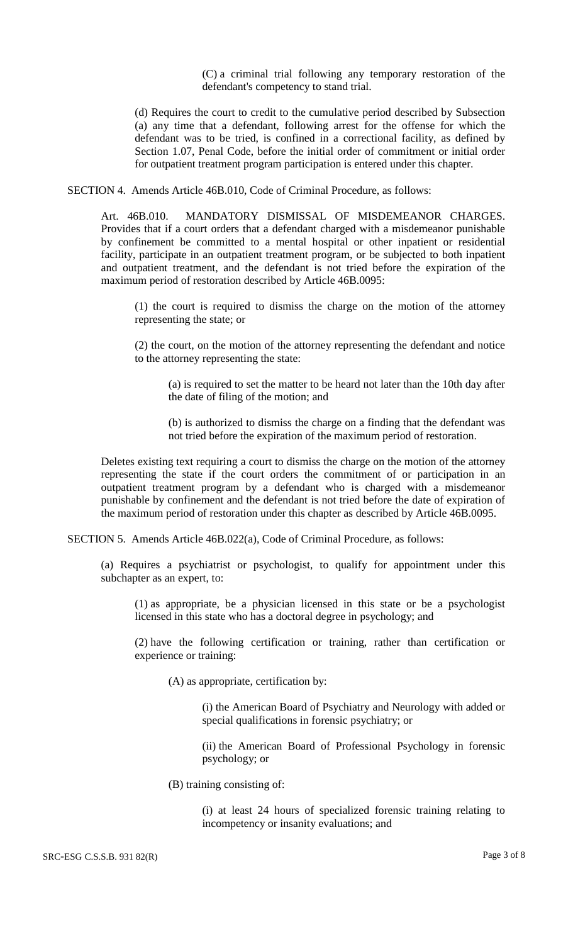(C) a criminal trial following any temporary restoration of the defendant's competency to stand trial.

(d) Requires the court to credit to the cumulative period described by Subsection (a) any time that a defendant, following arrest for the offense for which the defendant was to be tried, is confined in a correctional facility, as defined by Section 1.07, Penal Code, before the initial order of commitment or initial order for outpatient treatment program participation is entered under this chapter.

SECTION 4. Amends Article 46B.010, Code of Criminal Procedure, as follows:

Art. 46B.010. MANDATORY DISMISSAL OF MISDEMEANOR CHARGES. Provides that if a court orders that a defendant charged with a misdemeanor punishable by confinement be committed to a mental hospital or other inpatient or residential facility, participate in an outpatient treatment program, or be subjected to both inpatient and outpatient treatment, and the defendant is not tried before the expiration of the maximum period of restoration described by Article 46B.0095:

(1) the court is required to dismiss the charge on the motion of the attorney representing the state; or

(2) the court, on the motion of the attorney representing the defendant and notice to the attorney representing the state:

(a) is required to set the matter to be heard not later than the 10th day after the date of filing of the motion; and

(b) is authorized to dismiss the charge on a finding that the defendant was not tried before the expiration of the maximum period of restoration.

Deletes existing text requiring a court to dismiss the charge on the motion of the attorney representing the state if the court orders the commitment of or participation in an outpatient treatment program by a defendant who is charged with a misdemeanor punishable by confinement and the defendant is not tried before the date of expiration of the maximum period of restoration under this chapter as described by Article 46B.0095.

SECTION 5. Amends Article 46B.022(a), Code of Criminal Procedure, as follows:

(a) Requires a psychiatrist or psychologist, to qualify for appointment under this subchapter as an expert, to:

(1) as appropriate, be a physician licensed in this state or be a psychologist licensed in this state who has a doctoral degree in psychology; and

(2) have the following certification or training, rather than certification or experience or training:

(A) as appropriate, certification by:

(i) the American Board of Psychiatry and Neurology with added or special qualifications in forensic psychiatry; or

(ii) the American Board of Professional Psychology in forensic psychology; or

(B) training consisting of:

(i) at least 24 hours of specialized forensic training relating to incompetency or insanity evaluations; and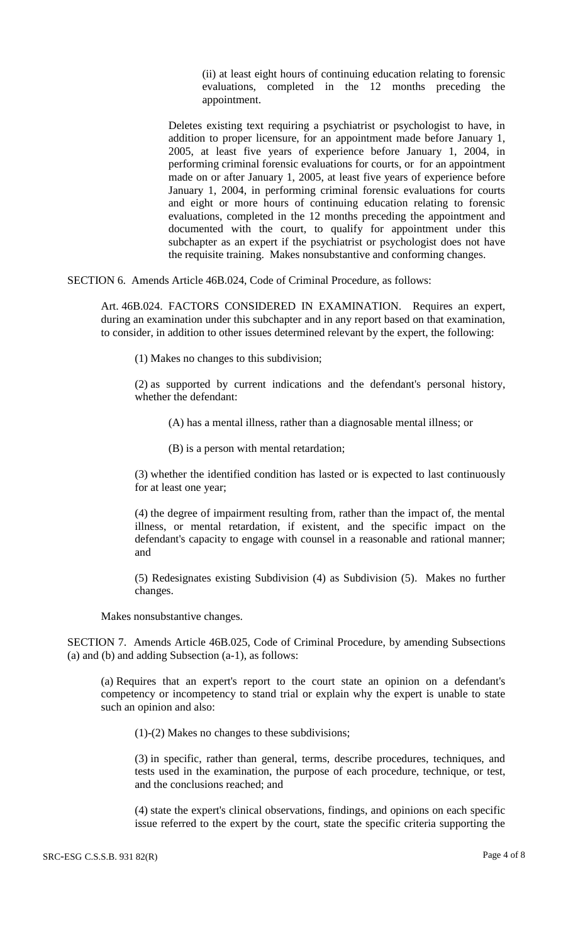(ii) at least eight hours of continuing education relating to forensic evaluations, completed in the 12 months preceding the appointment.

Deletes existing text requiring a psychiatrist or psychologist to have, in addition to proper licensure, for an appointment made before January 1, 2005, at least five years of experience before January 1, 2004, in performing criminal forensic evaluations for courts, or for an appointment made on or after January 1, 2005, at least five years of experience before January 1, 2004, in performing criminal forensic evaluations for courts and eight or more hours of continuing education relating to forensic evaluations, completed in the 12 months preceding the appointment and documented with the court, to qualify for appointment under this subchapter as an expert if the psychiatrist or psychologist does not have the requisite training. Makes nonsubstantive and conforming changes.

SECTION 6. Amends Article 46B.024, Code of Criminal Procedure, as follows:

Art. 46B.024. FACTORS CONSIDERED IN EXAMINATION. Requires an expert, during an examination under this subchapter and in any report based on that examination, to consider, in addition to other issues determined relevant by the expert, the following:

(1) Makes no changes to this subdivision;

(2) as supported by current indications and the defendant's personal history, whether the defendant:

(A) has a mental illness, rather than a diagnosable mental illness; or

(B) is a person with mental retardation;

(3) whether the identified condition has lasted or is expected to last continuously for at least one year;

(4) the degree of impairment resulting from, rather than the impact of, the mental illness, or mental retardation, if existent, and the specific impact on the defendant's capacity to engage with counsel in a reasonable and rational manner; and

(5) Redesignates existing Subdivision (4) as Subdivision (5). Makes no further changes.

Makes nonsubstantive changes.

SECTION 7. Amends Article 46B.025, Code of Criminal Procedure, by amending Subsections (a) and (b) and adding Subsection (a-1), as follows:

(a) Requires that an expert's report to the court state an opinion on a defendant's competency or incompetency to stand trial or explain why the expert is unable to state such an opinion and also:

(1)-(2) Makes no changes to these subdivisions;

(3) in specific, rather than general, terms, describe procedures, techniques, and tests used in the examination, the purpose of each procedure, technique, or test, and the conclusions reached; and

(4) state the expert's clinical observations, findings, and opinions on each specific issue referred to the expert by the court, state the specific criteria supporting the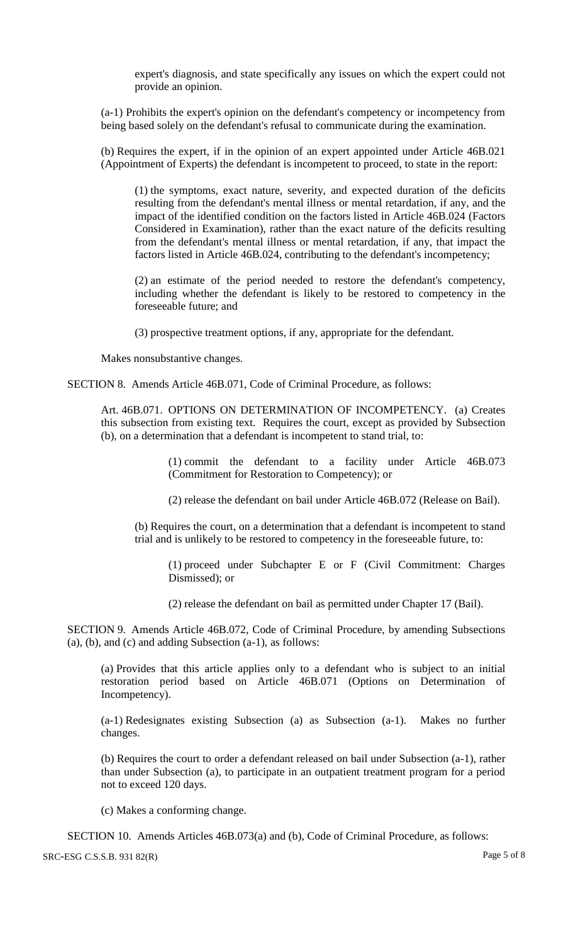expert's diagnosis, and state specifically any issues on which the expert could not provide an opinion.

(a-1) Prohibits the expert's opinion on the defendant's competency or incompetency from being based solely on the defendant's refusal to communicate during the examination.

(b) Requires the expert, if in the opinion of an expert appointed under Article 46B.021 (Appointment of Experts) the defendant is incompetent to proceed, to state in the report:

(1) the symptoms, exact nature, severity, and expected duration of the deficits resulting from the defendant's mental illness or mental retardation, if any, and the impact of the identified condition on the factors listed in Article 46B.024 (Factors Considered in Examination), rather than the exact nature of the deficits resulting from the defendant's mental illness or mental retardation, if any, that impact the factors listed in Article 46B.024, contributing to the defendant's incompetency;

(2) an estimate of the period needed to restore the defendant's competency, including whether the defendant is likely to be restored to competency in the foreseeable future; and

(3) prospective treatment options, if any, appropriate for the defendant.

Makes nonsubstantive changes.

SECTION 8. Amends Article 46B.071, Code of Criminal Procedure, as follows:

Art. 46B.071. OPTIONS ON DETERMINATION OF INCOMPETENCY. (a) Creates this subsection from existing text. Requires the court, except as provided by Subsection (b), on a determination that a defendant is incompetent to stand trial, to:

> (1) commit the defendant to a facility under Article 46B.073 (Commitment for Restoration to Competency); or

(2) release the defendant on bail under Article 46B.072 (Release on Bail).

(b) Requires the court, on a determination that a defendant is incompetent to stand trial and is unlikely to be restored to competency in the foreseeable future, to:

(1) proceed under Subchapter E or F (Civil Commitment: Charges Dismissed); or

(2) release the defendant on bail as permitted under Chapter 17 (Bail).

SECTION 9. Amends Article 46B.072, Code of Criminal Procedure, by amending Subsections (a), (b), and (c) and adding Subsection (a-1), as follows:

(a) Provides that this article applies only to a defendant who is subject to an initial restoration period based on Article 46B.071 (Options on Determination of Incompetency).

(a-1) Redesignates existing Subsection (a) as Subsection (a-1). Makes no further changes.

(b) Requires the court to order a defendant released on bail under Subsection (a-1), rather than under Subsection (a), to participate in an outpatient treatment program for a period not to exceed 120 days.

(c) Makes a conforming change.

SECTION 10. Amends Articles 46B.073(a) and (b), Code of Criminal Procedure, as follows:

SRC-ESG C.S.S.B. 931 82(R) Page 5 of 8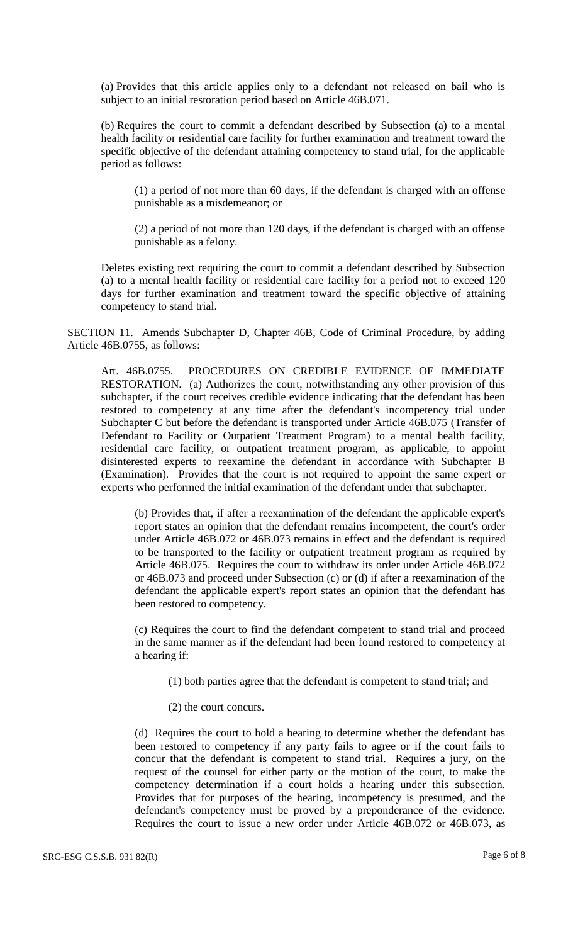(a) Provides that this article applies only to a defendant not released on bail who is subject to an initial restoration period based on Article 46B.071.

(b) Requires the court to commit a defendant described by Subsection (a) to a mental health facility or residential care facility for further examination and treatment toward the specific objective of the defendant attaining competency to stand trial, for the applicable period as follows:

(1) a period of not more than 60 days, if the defendant is charged with an offense punishable as a misdemeanor; or

(2) a period of not more than 120 days, if the defendant is charged with an offense punishable as a felony.

Deletes existing text requiring the court to commit a defendant described by Subsection (a) to a mental health facility or residential care facility for a period not to exceed 120 days for further examination and treatment toward the specific objective of attaining competency to stand trial.

SECTION 11. Amends Subchapter D, Chapter 46B, Code of Criminal Procedure, by adding Article 46B.0755, as follows:

Art. 46B.0755. PROCEDURES ON CREDIBLE EVIDENCE OF IMMEDIATE RESTORATION. (a) Authorizes the court, notwithstanding any other provision of this subchapter, if the court receives credible evidence indicating that the defendant has been restored to competency at any time after the defendant's incompetency trial under Subchapter C but before the defendant is transported under Article 46B.075 (Transfer of Defendant to Facility or Outpatient Treatment Program) to a mental health facility, residential care facility, or outpatient treatment program, as applicable, to appoint disinterested experts to reexamine the defendant in accordance with Subchapter B (Examination). Provides that the court is not required to appoint the same expert or experts who performed the initial examination of the defendant under that subchapter.

(b) Provides that, if after a reexamination of the defendant the applicable expert's report states an opinion that the defendant remains incompetent, the court's order under Article 46B.072 or 46B.073 remains in effect and the defendant is required to be transported to the facility or outpatient treatment program as required by Article 46B.075. Requires the court to withdraw its order under Article 46B.072 or 46B.073 and proceed under Subsection (c) or (d) if after a reexamination of the defendant the applicable expert's report states an opinion that the defendant has been restored to competency.

(c) Requires the court to find the defendant competent to stand trial and proceed in the same manner as if the defendant had been found restored to competency at a hearing if:

(1) both parties agree that the defendant is competent to stand trial; and

(2) the court concurs.

(d) Requires the court to hold a hearing to determine whether the defendant has been restored to competency if any party fails to agree or if the court fails to concur that the defendant is competent to stand trial. Requires a jury, on the request of the counsel for either party or the motion of the court, to make the competency determination if a court holds a hearing under this subsection. Provides that for purposes of the hearing, incompetency is presumed, and the defendant's competency must be proved by a preponderance of the evidence. Requires the court to issue a new order under Article 46B.072 or 46B.073, as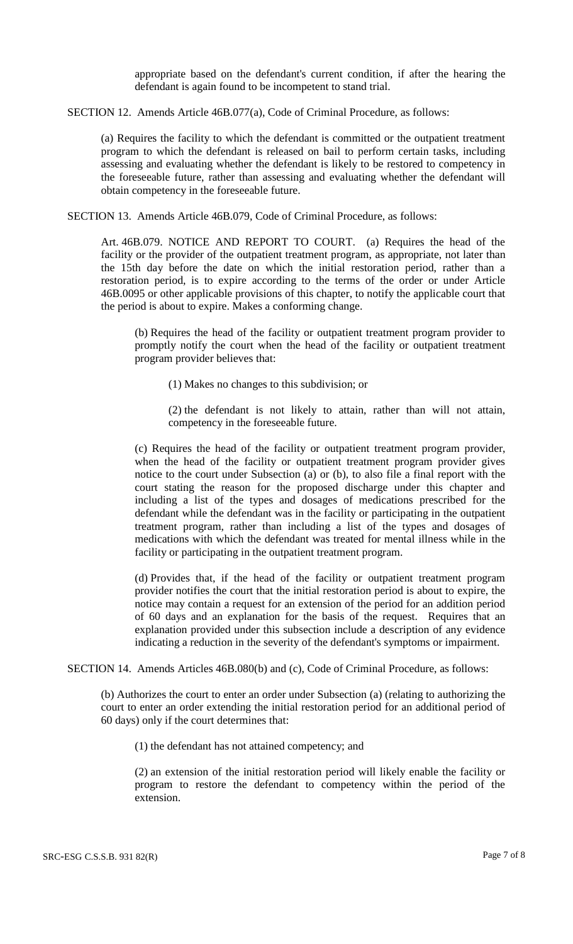appropriate based on the defendant's current condition, if after the hearing the defendant is again found to be incompetent to stand trial.

SECTION 12. Amends Article 46B.077(a), Code of Criminal Procedure, as follows:

(a) Requires the facility to which the defendant is committed or the outpatient treatment program to which the defendant is released on bail to perform certain tasks, including assessing and evaluating whether the defendant is likely to be restored to competency in the foreseeable future, rather than assessing and evaluating whether the defendant will obtain competency in the foreseeable future.

SECTION 13. Amends Article 46B.079, Code of Criminal Procedure, as follows:

Art. 46B.079. NOTICE AND REPORT TO COURT. (a) Requires the head of the facility or the provider of the outpatient treatment program, as appropriate, not later than the 15th day before the date on which the initial restoration period, rather than a restoration period, is to expire according to the terms of the order or under Article 46B.0095 or other applicable provisions of this chapter, to notify the applicable court that the period is about to expire. Makes a conforming change.

(b) Requires the head of the facility or outpatient treatment program provider to promptly notify the court when the head of the facility or outpatient treatment program provider believes that:

(1) Makes no changes to this subdivision; or

(2) the defendant is not likely to attain, rather than will not attain, competency in the foreseeable future.

(c) Requires the head of the facility or outpatient treatment program provider, when the head of the facility or outpatient treatment program provider gives notice to the court under Subsection (a) or (b), to also file a final report with the court stating the reason for the proposed discharge under this chapter and including a list of the types and dosages of medications prescribed for the defendant while the defendant was in the facility or participating in the outpatient treatment program, rather than including a list of the types and dosages of medications with which the defendant was treated for mental illness while in the facility or participating in the outpatient treatment program.

(d) Provides that, if the head of the facility or outpatient treatment program provider notifies the court that the initial restoration period is about to expire, the notice may contain a request for an extension of the period for an addition period of 60 days and an explanation for the basis of the request. Requires that an explanation provided under this subsection include a description of any evidence indicating a reduction in the severity of the defendant's symptoms or impairment.

SECTION 14. Amends Articles 46B.080(b) and (c), Code of Criminal Procedure, as follows:

(b) Authorizes the court to enter an order under Subsection (a) (relating to authorizing the court to enter an order extending the initial restoration period for an additional period of 60 days) only if the court determines that:

(1) the defendant has not attained competency; and

(2) an extension of the initial restoration period will likely enable the facility or program to restore the defendant to competency within the period of the extension.